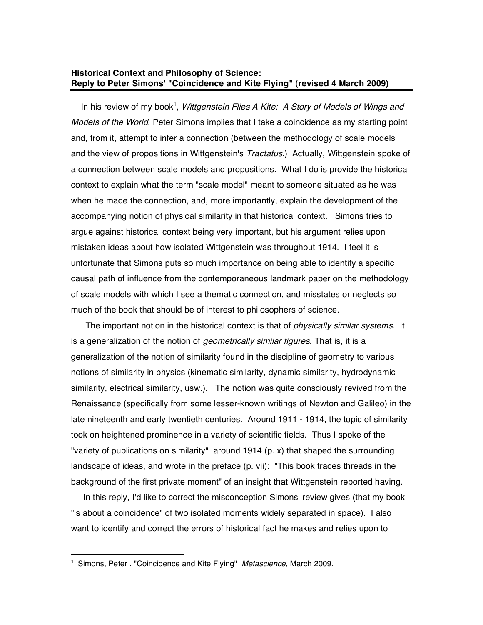## **Historical Context and Philosophy of Science: Reply to Peter Simons' "Coincidence and Kite Flying" (revised 4 March 2009)**

In his review of my book<sup>1</sup>, Wittgenstein Flies A Kite: A Story of Models of Wings and Models of the World, Peter Simons implies that I take a coincidence as my starting point and, from it, attempt to infer a connection (between the methodology of scale models and the view of propositions in Wittgenstein's *Tractatus*.) Actually, Wittgenstein spoke of a connection between scale models and propositions. What I do is provide the historical context to explain what the term "scale model" meant to someone situated as he was when he made the connection, and, more importantly, explain the development of the accompanying notion of physical similarity in that historical context. Simons tries to argue against historical context being very important, but his argument relies upon mistaken ideas about how isolated Wittgenstein was throughout 1914. I feel it is unfortunate that Simons puts so much importance on being able to identify a specific causal path of influence from the contemporaneous landmark paper on the methodology of scale models with which I see a thematic connection, and misstates or neglects so much of the book that should be of interest to philosophers of science.

The important notion in the historical context is that of *physically similar systems*. It is a generalization of the notion of *geometrically similar figures*. That is, it is a generalization of the notion of similarity found in the discipline of geometry to various notions of similarity in physics (kinematic similarity, dynamic similarity, hydrodynamic similarity, electrical similarity, usw.). The notion was quite consciously revived from the Renaissance (specifically from some lesser-known writings of Newton and Galileo) in the late nineteenth and early twentieth centuries. Around 1911 - 1914, the topic of similarity took on heightened prominence in a variety of scientific fields. Thus I spoke of the "variety of publications on similarity" around 1914 (p. x) that shaped the surrounding landscape of ideas, and wrote in the preface (p. vii): "This book traces threads in the background of the first private moment" of an insight that Wittgenstein reported having.

In this reply, I'd like to correct the misconception Simons' review gives (that my book "is about a coincidence" of two isolated moments widely separated in space). I also want to identify and correct the errors of historical fact he makes and relies upon to

<sup>&</sup>lt;sup>1</sup> Simons, Peter . "Coincidence and Kite Flying" Metascience, March 2009.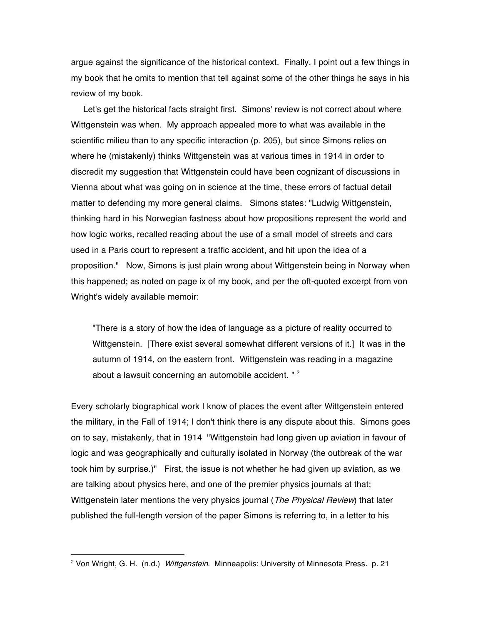argue against the significance of the historical context. Finally, I point out a few things in my book that he omits to mention that tell against some of the other things he says in his review of my book.

Let's get the historical facts straight first. Simons' review is not correct about where Wittgenstein was when. My approach appealed more to what was available in the scientific milieu than to any specific interaction (p. 205), but since Simons relies on where he (mistakenly) thinks Wittgenstein was at various times in 1914 in order to discredit my suggestion that Wittgenstein could have been cognizant of discussions in Vienna about what was going on in science at the time, these errors of factual detail matter to defending my more general claims. Simons states: "Ludwig Wittgenstein, thinking hard in his Norwegian fastness about how propositions represent the world and how logic works, recalled reading about the use of a small model of streets and cars used in a Paris court to represent a traffic accident, and hit upon the idea of a proposition." Now, Simons is just plain wrong about Wittgenstein being in Norway when this happened; as noted on page ix of my book, and per the oft-quoted excerpt from von Wright's widely available memoir:

"There is a story of how the idea of language as a picture of reality occurred to Wittgenstein. [There exist several somewhat different versions of it.] It was in the autumn of 1914, on the eastern front. Wittgenstein was reading in a magazine about a lawsuit concerning an automobile accident. "<sup>2</sup>

Every scholarly biographical work I know of places the event after Wittgenstein entered the military, in the Fall of 1914; I don't think there is any dispute about this. Simons goes on to say, mistakenly, that in 1914 "Wittgenstein had long given up aviation in favour of logic and was geographically and culturally isolated in Norway (the outbreak of the war took him by surprise.)" First, the issue is not whether he had given up aviation, as we are talking about physics here, and one of the premier physics journals at that; Wittgenstein later mentions the very physics journal (*The Physical Review*) that later published the full-length version of the paper Simons is referring to, in a letter to his

<sup>&</sup>lt;sup>2</sup> Von Wright, G. H. (n.d.) Wittgenstein. Minneapolis: University of Minnesota Press. p. 21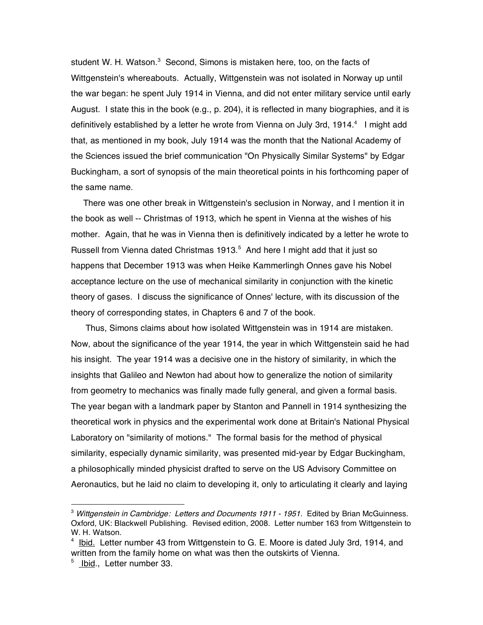student W. H. Watson.<sup>3</sup> Second, Simons is mistaken here, too, on the facts of Wittgenstein's whereabouts. Actually, Wittgenstein was not isolated in Norway up until the war began: he spent July 1914 in Vienna, and did not enter military service until early August. I state this in the book (e.g., p. 204), it is reflected in many biographies, and it is definitively established by a letter he wrote from Vienna on July 3rd, 1914.<sup>4</sup> I might add that, as mentioned in my book, July 1914 was the month that the National Academy of the Sciences issued the brief communication "On Physically Similar Systems" by Edgar Buckingham, a sort of synopsis of the main theoretical points in his forthcoming paper of the same name.

There was one other break in Wittgenstein's seclusion in Norway, and I mention it in the book as well -- Christmas of 1913, which he spent in Vienna at the wishes of his mother. Again, that he was in Vienna then is definitively indicated by a letter he wrote to Russell from Vienna dated Christmas 1913.<sup>5</sup> And here I might add that it just so happens that December 1913 was when Heike Kammerlingh Onnes gave his Nobel acceptance lecture on the use of mechanical similarity in conjunction with the kinetic theory of gases. I discuss the significance of Onnes' lecture, with its discussion of the theory of corresponding states, in Chapters 6 and 7 of the book.

Thus, Simons claims about how isolated Wittgenstein was in 1914 are mistaken. Now, about the significance of the year 1914, the year in which Wittgenstein said he had his insight. The year 1914 was a decisive one in the history of similarity, in which the insights that Galileo and Newton had about how to generalize the notion of similarity from geometry to mechanics was finally made fully general, and given a formal basis. The year began with a landmark paper by Stanton and Pannell in 1914 synthesizing the theoretical work in physics and the experimental work done at Britain's National Physical Laboratory on "similarity of motions." The formal basis for the method of physical similarity, especially dynamic similarity, was presented mid-year by Edgar Buckingham, a philosophically minded physicist drafted to serve on the US Advisory Committee on Aeronautics, but he laid no claim to developing it, only to articulating it clearly and laying

<sup>&</sup>lt;sup>3</sup> Wittgenstein in Cambridge: Letters and Documents 1911 - 1951. Edited by Brian McGuinness. Oxford, UK: Blackwell Publishing. Revised edition, 2008. Letter number 163 from Wittgenstein to W. H. Watson.

<sup>&</sup>lt;sup>4</sup> Ibid. Letter number 43 from Wittgenstein to G. E. Moore is dated July 3rd, 1914, and written from the family home on what was then the outskirts of Vienna.

<sup>5</sup> Ibid., Letter number 33.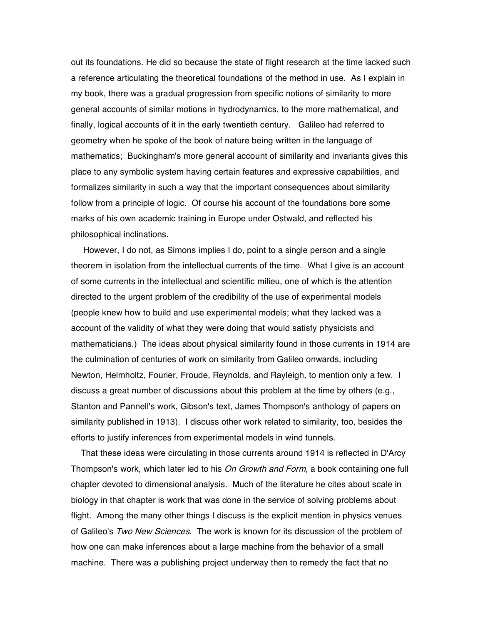out its foundations. He did so because the state of flight research at the time lacked such a reference articulating the theoretical foundations of the method in use. As I explain in my book, there was a gradual progression from specific notions of similarity to more general accounts of similar motions in hydrodynamics, to the more mathematical, and finally, logical accounts of it in the early twentieth century. Galileo had referred to geometry when he spoke of the book of nature being written in the language of mathematics; Buckingham's more general account of similarity and invariants gives this place to any symbolic system having certain features and expressive capabilities, and formalizes similarity in such a way that the important consequences about similarity follow from a principle of logic. Of course his account of the foundations bore some marks of his own academic training in Europe under Ostwald, and reflected his philosophical inclinations.

However, I do not, as Simons implies I do, point to a single person and a single theorem in isolation from the intellectual currents of the time. What I give is an account of some currents in the intellectual and scientific milieu, one of which is the attention directed to the urgent problem of the credibility of the use of experimental models (people knew how to build and use experimental models; what they lacked was a account of the validity of what they were doing that would satisfy physicists and mathematicians.) The ideas about physical similarity found in those currents in 1914 are the culmination of centuries of work on similarity from Galileo onwards, including Newton, Helmholtz, Fourier, Froude, Reynolds, and Rayleigh, to mention only a few. I discuss a great number of discussions about this problem at the time by others (e.g., Stanton and Pannell's work, Gibson's text, James Thompson's anthology of papers on similarity published in 1913). I discuss other work related to similarity, too, besides the efforts to justify inferences from experimental models in wind tunnels.

That these ideas were circulating in those currents around 1914 is reflected in D'Arcy Thompson's work, which later led to his On Growth and Form, a book containing one full chapter devoted to dimensional analysis. Much of the literature he cites about scale in biology in that chapter is work that was done in the service of solving problems about flight. Among the many other things I discuss is the explicit mention in physics venues of Galileo's Two New Sciences. The work is known for its discussion of the problem of how one can make inferences about a large machine from the behavior of a small machine. There was a publishing project underway then to remedy the fact that no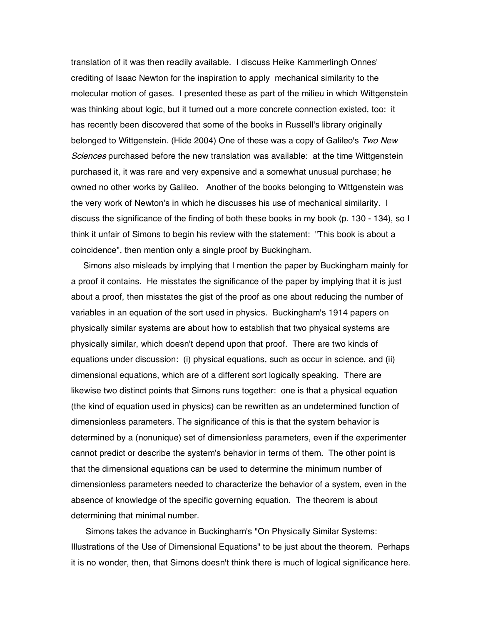translation of it was then readily available. I discuss Heike Kammerlingh Onnes' crediting of Isaac Newton for the inspiration to apply mechanical similarity to the molecular motion of gases. I presented these as part of the milieu in which Wittgenstein was thinking about logic, but it turned out a more concrete connection existed, too: it has recently been discovered that some of the books in Russell's library originally belonged to Wittgenstein. (Hide 2004) One of these was a copy of Galileo's Two New Sciences purchased before the new translation was available: at the time Wittgenstein purchased it, it was rare and very expensive and a somewhat unusual purchase; he owned no other works by Galileo. Another of the books belonging to Wittgenstein was the very work of Newton's in which he discusses his use of mechanical similarity. I discuss the significance of the finding of both these books in my book (p. 130 - 134), so I think it unfair of Simons to begin his review with the statement: "This book is about a coincidence", then mention only a single proof by Buckingham.

Simons also misleads by implying that I mention the paper by Buckingham mainly for a proof it contains. He misstates the significance of the paper by implying that it is just about a proof, then misstates the gist of the proof as one about reducing the number of variables in an equation of the sort used in physics. Buckingham's 1914 papers on physically similar systems are about how to establish that two physical systems are physically similar, which doesn't depend upon that proof. There are two kinds of equations under discussion: (i) physical equations, such as occur in science, and (ii) dimensional equations, which are of a different sort logically speaking. There are likewise two distinct points that Simons runs together: one is that a physical equation (the kind of equation used in physics) can be rewritten as an undetermined function of dimensionless parameters. The significance of this is that the system behavior is determined by a (nonunique) set of dimensionless parameters, even if the experimenter cannot predict or describe the system's behavior in terms of them. The other point is that the dimensional equations can be used to determine the minimum number of dimensionless parameters needed to characterize the behavior of a system, even in the absence of knowledge of the specific governing equation. The theorem is about determining that minimal number.

Simons takes the advance in Buckingham's "On Physically Similar Systems: Illustrations of the Use of Dimensional Equations" to be just about the theorem. Perhaps it is no wonder, then, that Simons doesn't think there is much of logical significance here.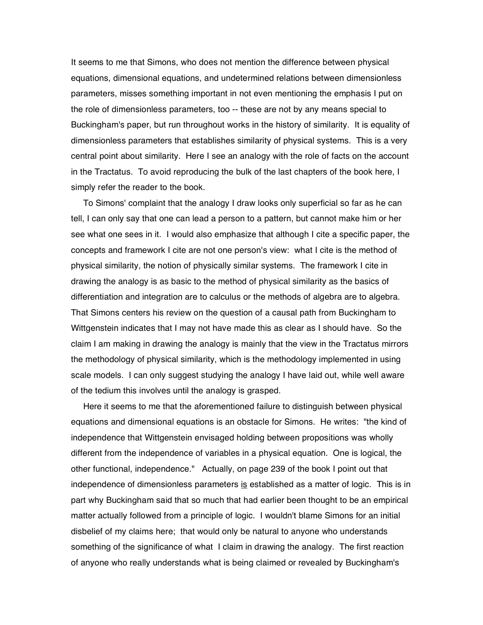It seems to me that Simons, who does not mention the difference between physical equations, dimensional equations, and undetermined relations between dimensionless parameters, misses something important in not even mentioning the emphasis I put on the role of dimensionless parameters, too -- these are not by any means special to Buckingham's paper, but run throughout works in the history of similarity. It is equality of dimensionless parameters that establishes similarity of physical systems. This is a very central point about similarity. Here I see an analogy with the role of facts on the account in the Tractatus. To avoid reproducing the bulk of the last chapters of the book here, I simply refer the reader to the book.

To Simons' complaint that the analogy I draw looks only superficial so far as he can tell, I can only say that one can lead a person to a pattern, but cannot make him or her see what one sees in it. I would also emphasize that although I cite a specific paper, the concepts and framework I cite are not one person's view: what I cite is the method of physical similarity, the notion of physically similar systems. The framework I cite in drawing the analogy is as basic to the method of physical similarity as the basics of differentiation and integration are to calculus or the methods of algebra are to algebra. That Simons centers his review on the question of a causal path from Buckingham to Wittgenstein indicates that I may not have made this as clear as I should have. So the claim I am making in drawing the analogy is mainly that the view in the Tractatus mirrors the methodology of physical similarity, which is the methodology implemented in using scale models. I can only suggest studying the analogy I have laid out, while well aware of the tedium this involves until the analogy is grasped.

Here it seems to me that the aforementioned failure to distinguish between physical equations and dimensional equations is an obstacle for Simons. He writes: "the kind of independence that Wittgenstein envisaged holding between propositions was wholly different from the independence of variables in a physical equation. One is logical, the other functional, independence." Actually, on page 239 of the book I point out that independence of dimensionless parameters is established as a matter of logic. This is in part why Buckingham said that so much that had earlier been thought to be an empirical matter actually followed from a principle of logic. I wouldn't blame Simons for an initial disbelief of my claims here; that would only be natural to anyone who understands something of the significance of what I claim in drawing the analogy. The first reaction of anyone who really understands what is being claimed or revealed by Buckingham's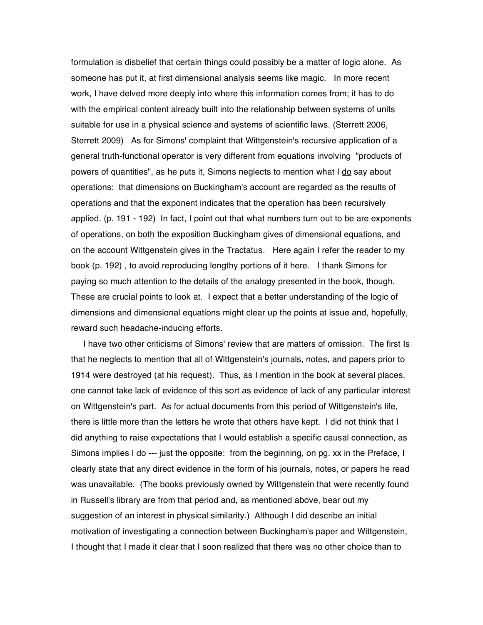formulation is disbelief that certain things could possibly be a matter of logic alone. As someone has put it, at first dimensional analysis seems like magic. In more recent work, I have delved more deeply into where this information comes from; it has to do with the empirical content already built into the relationship between systems of units suitable for use in a physical science and systems of scientific laws. (Sterrett 2006, Sterrett 2009) As for Simons' complaint that Wittgenstein's recursive application of a general truth-functional operator is very different from equations involving "products of powers of quantities", as he puts it, Simons neglects to mention what I do say about operations: that dimensions on Buckingham's account are regarded as the results of operations and that the exponent indicates that the operation has been recursively applied. (p. 191 - 192) In fact, I point out that what numbers turn out to be are exponents of operations, on both the exposition Buckingham gives of dimensional equations, and on the account Wittgenstein gives in the Tractatus. Here again I refer the reader to my book (p. 192) , to avoid reproducing lengthy portions of it here. I thank Simons for paying so much attention to the details of the analogy presented in the book, though. These are crucial points to look at. I expect that a better understanding of the logic of dimensions and dimensional equations might clear up the points at issue and, hopefully, reward such headache-inducing efforts.

I have two other criticisms of Simons' review that are matters of omission. The first Is that he neglects to mention that all of Wittgenstein's journals, notes, and papers prior to 1914 were destroyed (at his request). Thus, as I mention in the book at several places, one cannot take lack of evidence of this sort as evidence of lack of any particular interest on Wittgenstein's part. As for actual documents from this period of Wittgenstein's life, there is little more than the letters he wrote that others have kept. I did not think that I did anything to raise expectations that I would establish a specific causal connection, as Simons implies I do --- just the opposite: from the beginning, on pg. xx in the Preface, I clearly state that any direct evidence in the form of his journals, notes, or papers he read was unavailable. (The books previously owned by Wittgenstein that were recently found in Russell's library are from that period and, as mentioned above, bear out my suggestion of an interest in physical similarity.) Although I did describe an initial motivation of investigating a connection between Buckingham's paper and Wittgenstein, I thought that I made it clear that I soon realized that there was no other choice than to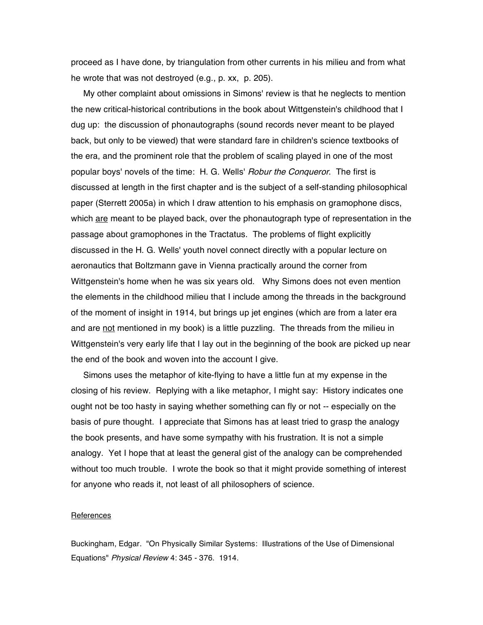proceed as I have done, by triangulation from other currents in his milieu and from what he wrote that was not destroyed (e.g., p. xx, p. 205).

My other complaint about omissions in Simons' review is that he neglects to mention the new critical-historical contributions in the book about Wittgenstein's childhood that I dug up: the discussion of phonautographs (sound records never meant to be played back, but only to be viewed) that were standard fare in children's science textbooks of the era, and the prominent role that the problem of scaling played in one of the most popular boys' novels of the time: H. G. Wells' *Robur the Conqueror*. The first is discussed at length in the first chapter and is the subject of a self-standing philosophical paper (Sterrett 2005a) in which I draw attention to his emphasis on gramophone discs, which are meant to be played back, over the phonautograph type of representation in the passage about gramophones in the Tractatus. The problems of flight explicitly discussed in the H. G. Wells' youth novel connect directly with a popular lecture on aeronautics that Boltzmann gave in Vienna practically around the corner from Wittgenstein's home when he was six years old. Why Simons does not even mention the elements in the childhood milieu that I include among the threads in the background of the moment of insight in 1914, but brings up jet engines (which are from a later era and are not mentioned in my book) is a little puzzling. The threads from the milieu in Wittgenstein's very early life that I lay out in the beginning of the book are picked up near the end of the book and woven into the account I give.

Simons uses the metaphor of kite-flying to have a little fun at my expense in the closing of his review. Replying with a like metaphor, I might say: History indicates one ought not be too hasty in saying whether something can fly or not -- especially on the basis of pure thought. I appreciate that Simons has at least tried to grasp the analogy the book presents, and have some sympathy with his frustration. It is not a simple analogy. Yet I hope that at least the general gist of the analogy can be comprehended without too much trouble. I wrote the book so that it might provide something of interest for anyone who reads it, not least of all philosophers of science.

## **References**

Buckingham, Edgar. "On Physically Similar Systems: Illustrations of the Use of Dimensional Equations" Physical Review 4: 345 - 376. 1914.